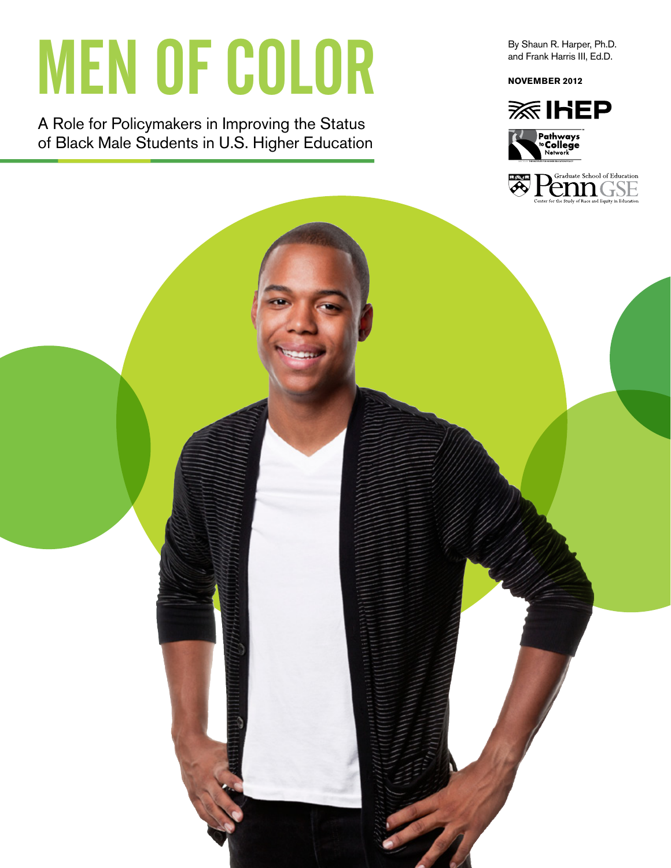# **MEN OF COLOR**

A Role for Policymakers in Improving the Status of Black Male Students in U.S. Higher Education By Shaun R. Harper, Ph.D. and Frank Harris III, Ed.D.

**NOVEMBER 2012** 



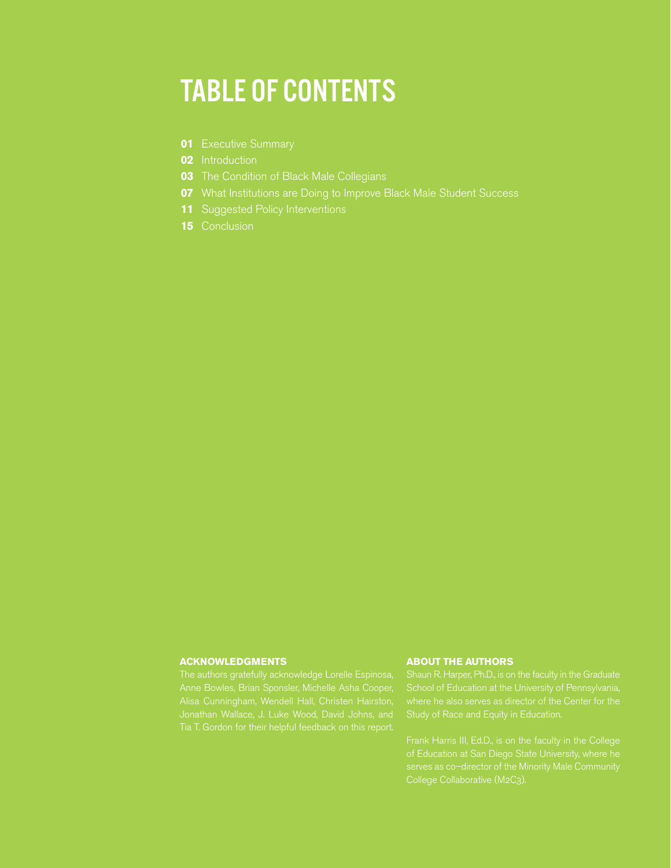### TABLE OF CONTENTS

- **01** Executive Summary
- **02** Introduction
- **03** The Condition of Black Male Collegians
- **07** What Institutions are Doing to Improve Black Male Student Success
- **11** Suggested Policy Interventions
- **15** Conclusion

#### **ACKNOWLEDGMENTS**

#### **ABOUT THE AUTHORS**

Study of Race and Equity in Education.

serves as co–director of the Minority Male Community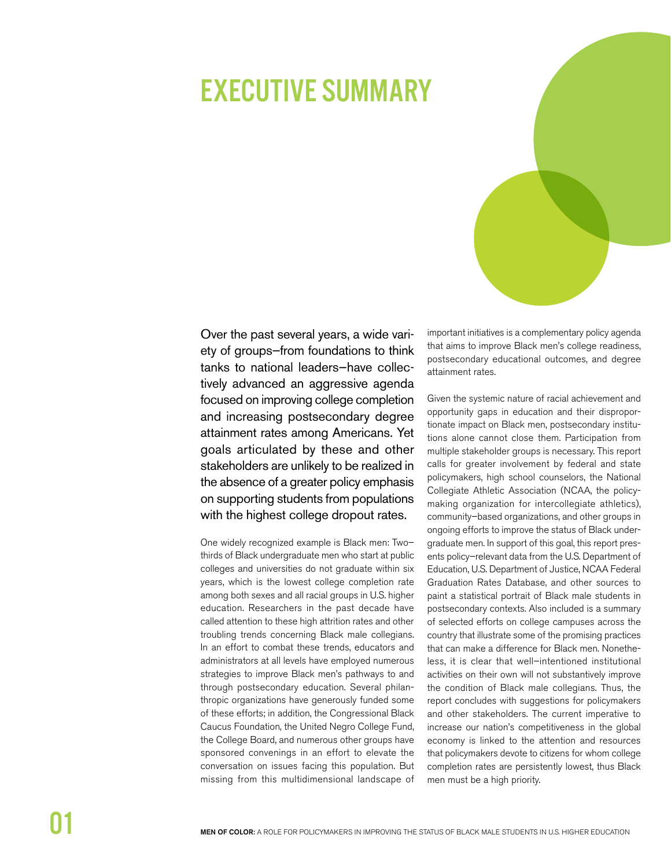### **EXECUTIVE SUMMARY**



Over the past several years, a wide variety of groups-from foundations to think tanks to national leaders-have collectively advanced an aggressive agenda focused on improving college completion and increasing postsecondary degree attainment rates among Americans. Yet goals articulated by these and other stakeholders are unlikely to be realized in the absence of a greater policy emphasis on supporting students from populations with the highest college dropout rates.

One widely recognized example is Black men: Twothirds of Black undergraduate men who start at public colleges and universities do not graduate within six years, which is the lowest college completion rate among both sexes and all racial groups in U.S. higher education. Researchers in the past decade have called attention to these high attrition rates and other troubling trends concerning Black male collegians. In an effort to combat these trends, educators and administrators at all levels have employed numerous strategies to improve Black men's pathways to and through postsecondary education. Several philanthropic organizations have generously funded some of these efforts; in addition, the Congressional Black Caucus Foundation, the United Negro College Fund, the College Board, and numerous other groups have sponsored convenings in an effort to elevate the conversation on issues facing this population. But missing from this multidimensional landscape of

important initiatives is a complementary policy agenda that aims to improve Black men's college readiness, postsecondary educational outcomes, and degree attainment rates.

Given the systemic nature of racial achievement and opportunity gaps in education and their disproportionate impact on Black men, postsecondary institutions alone cannot close them. Participation from multiple stakeholder groups is necessary. This report calls for greater involvement by federal and state policymakers, high school counselors, the National Collegiate Athletic Association (NCAA, the policymaking organization for intercollegiate athletics), community-based organizations, and other groups in ongoing efforts to improve the status of Black undergraduate men. In support of this goal, this report presents policy-relevant data from the U.S. Department of Education, U.S. Department of Justice, NCAA Federal Graduation Rates Database, and other sources to paint a statistical portrait of Black male students in postsecondary contexts. Also included is a summary of selected efforts on college campuses across the country that illustrate some of the promising practices that can make a difference for Black men. Nonetheless, it is clear that well-intentioned institutional activities on their own will not substantively improve the condition of Black male collegians. Thus, the report concludes with suggestions for policymakers and other stakeholders. The current imperative to increase our nation's competitiveness in the global economy is linked to the attention and resources that policymakers devote to citizens for whom college completion rates are persistently lowest, thus Black men must be a high priority.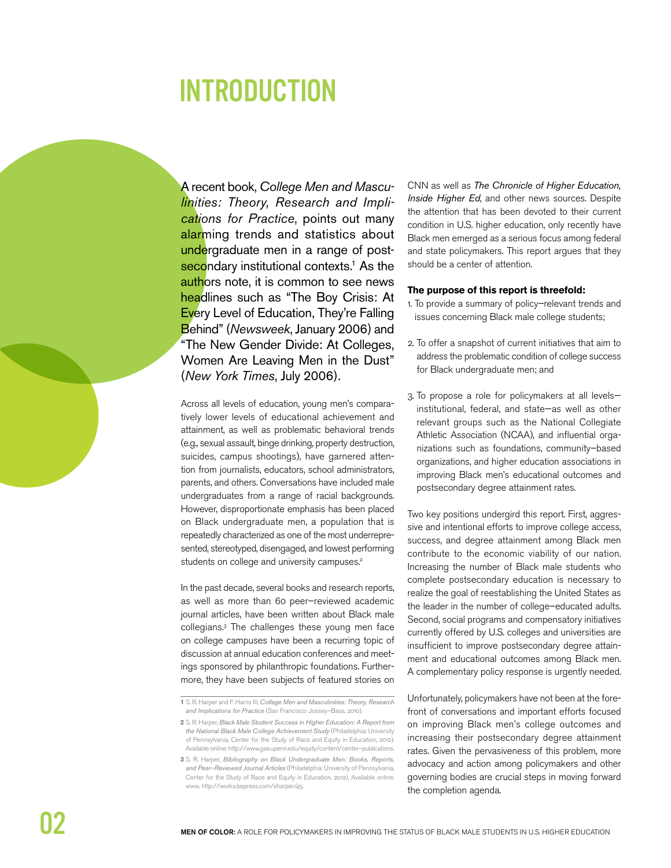### **INTRODUCTION**

A recent book, College Men and Masculinities: Theory, Research and Implications for Practice, points out many alarming trends and statistics about undergraduate men in a range of postsecondary institutional contexts.<sup>1</sup> As the authors note, it is common to see news headlines such as "The Boy Crisis: At Every Level of Education, They're Falling Behind" (Newsweek, January 2006) and "The New Gender Divide: At Colleges, Women Are Leaving Men in the Dust" (New York Times, July 2006).

Across all levels of education, young men's comparatively lower levels of educational achievement and attainment, as well as problematic behavioral trends (e.g., sexual assault, binge drinking, property destruction, suicides, campus shootings), have garnered attention from journalists, educators, school administrators, parents, and others. Conversations have included male undergraduates from a range of racial backgrounds. However, disproportionate emphasis has been placed on Black undergraduate men, a population that is repeatedly characterized as one of the most underrepresented, stereotyped, disengaged, and lowest performing students on college and university campuses.<sup>2</sup>

In the past decade, several books and research reports, as well as more than 60 peer-reviewed academic journal articles, have been written about Black male collegians.<sup>3</sup> The challenges these young men face on college campuses have been a recurring topic of discussion at annual education conferences and meetings sponsored by philanthropic foundations. Furthermore, they have been subjects of featured stories on CNN as well as The Chronicle of Higher Education, Inside Higher Ed, and other news sources. Despite the attention that has been devoted to their current condition in U.S. higher education, only recently have Black men emerged as a serious focus among federal and state policymakers. This report argues that they should be a center of attention.

#### The purpose of this report is threefold:

- 1. To provide a summary of policy-relevant trends and issues concerning Black male college students;
- 2. To offer a snapshot of current initiatives that aim to address the problematic condition of college success for Black undergraduate men; and
- 3. To propose a role for policymakers at all levelsinstitutional, federal, and state-as well as other relevant groups such as the National Collegiate Athletic Association (NCAA), and influential organizations such as foundations, community-based organizations, and higher education associations in improving Black men's educational outcomes and postsecondary degree attainment rates.

Two key positions undergird this report. First, aggressive and intentional efforts to improve college access, success, and degree attainment among Black men contribute to the economic viability of our nation. Increasing the number of Black male students who complete postsecondary education is necessary to realize the goal of reestablishing the United States as the leader in the number of college-educated adults. Second, social programs and compensatory initiatives currently offered by U.S. colleges and universities are insufficient to improve postsecondary degree attainment and educational outcomes among Black men. A complementary policy response is urgently needed.

Unfortunately, policymakers have not been at the forefront of conversations and important efforts focused on improving Black men's college outcomes and increasing their postsecondary degree attainment rates. Given the pervasiveness of this problem, more advocacy and action among policymakers and other governing bodies are crucial steps in moving forward the completion agenda.

<sup>1</sup> S. R. Harper and F. Harris III, College Men and Masculinities: Theory, Research and Implications for Practice (San Francisco: Jossey-Bass, 2010)

<sup>2</sup> S. R. Harper, Black Male Student Success in Higher Education: A Report from the National Black Male College Achievement Study (Philadelphia: University of Pennsylvania, Center for the Study of Race and Equity in Education, 2012). Available online: http://www.gse.upenn.edu/equity/content/center-publications.

<sup>3</sup> S. R. Harper, Bibliography on Black Undergraduate Men: Books, Reports, and Peer-Reviewed Journal Articles (Philadelphia: University of Pennsylvania Center for the Study of Race and Equity in Education, 2012). Available online: www.http://works.bepress.com/sharper/45.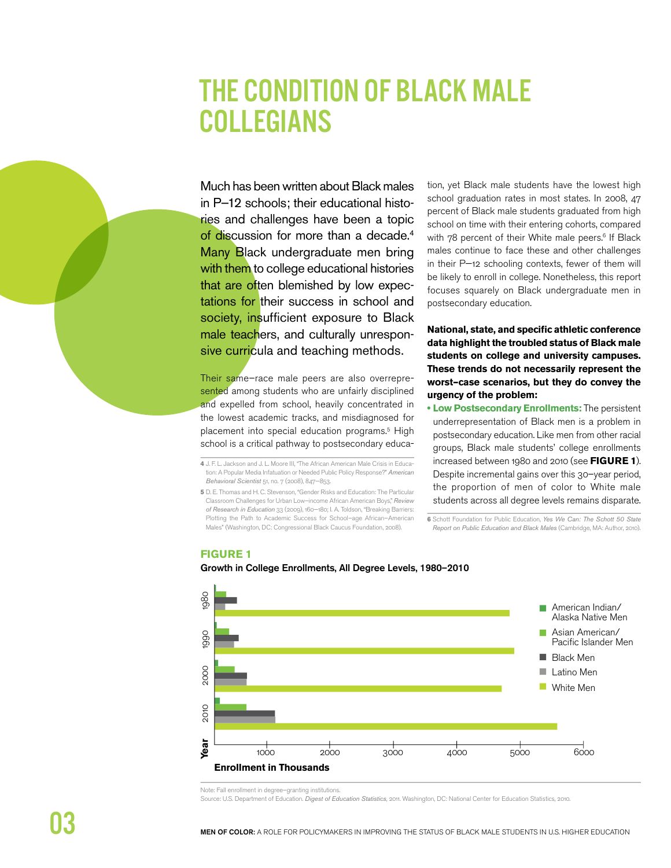### **THE CONDITION OF BLACK MALE COLLEGIANS**

Much has been written about Black males in P-12 schools; their educational histories and challenges have been a topic of discussion for more than a decade.<sup>4</sup> Many Black undergraduate men bring with them to college educational histories that are often blemished by low expectations for their success in school and society, insufficient exposure to Black male teachers, and culturally unresponsive curricula and teaching methods.

Their same-race male peers are also overrepresented among students who are unfairly disciplined and expelled from school, heavily concentrated in the lowest academic tracks, and misdiagnosed for placement into special education programs.<sup>5</sup> High school is a critical pathway to postsecondary educa-

4 J. F. L. Jackson and J. L. Moore III, "The African American Male Crisis in Education: A Popular Media Infatuation or Needed Public Policy Response?" American Behavioral Scientist 51, no. 7 (2008), 847-853.

5 D. E. Thomas and H. C. Stevenson, "Gender Risks and Education: The Particular Classroom Challenges for Urban Low-income African American Boys," Review of Research in Education 33 (2009), 160-180; I. A. Toldson, "Breaking Barriers: Plotting the Path to Academic Success for School-age African-American Males" (Washington, DC: Congressional Black Caucus Foundation, 2008).

tion, yet Black male students have the lowest high school graduation rates in most states. In 2008, 47 percent of Black male students graduated from high school on time with their entering cohorts, compared with 78 percent of their White male peers.<sup>6</sup> If Black males continue to face these and other challenges in their P-12 schooling contexts, fewer of them will be likely to enroll in college. Nonetheless, this report focuses squarely on Black undergraduate men in postsecondary education.

National, state, and specific athletic conference data highlight the troubled status of Black male students on college and university campuses. These trends do not necessarily represent the worst-case scenarios, but they do convey the urgency of the problem:

**. Low Postsecondary Enrollments:** The persistent underrepresentation of Black men is a problem in postsecondary education. Like men from other racial groups, Black male students' college enrollments increased between 1980 and 2010 (see FIGURE 1). Despite incremental gains over this 30-year period, the proportion of men of color to White male students across all degree levels remains disparate.

6 Schott Foundation for Public Education, Yes We Can: The Schott 50 State Report on Public Education and Black Males (Cambridge, MA: Author, 2010).

#### **FIGURE 1**

#### Growth in College Enrollments, All Degree Levels, 1980-2010



Note: Fall enrollment in degree-granting institutions.

Source: U.S. Department of Education. Digest of Education Statistics, 2011. Washington, DC: National Center for Education Statistics, 2010.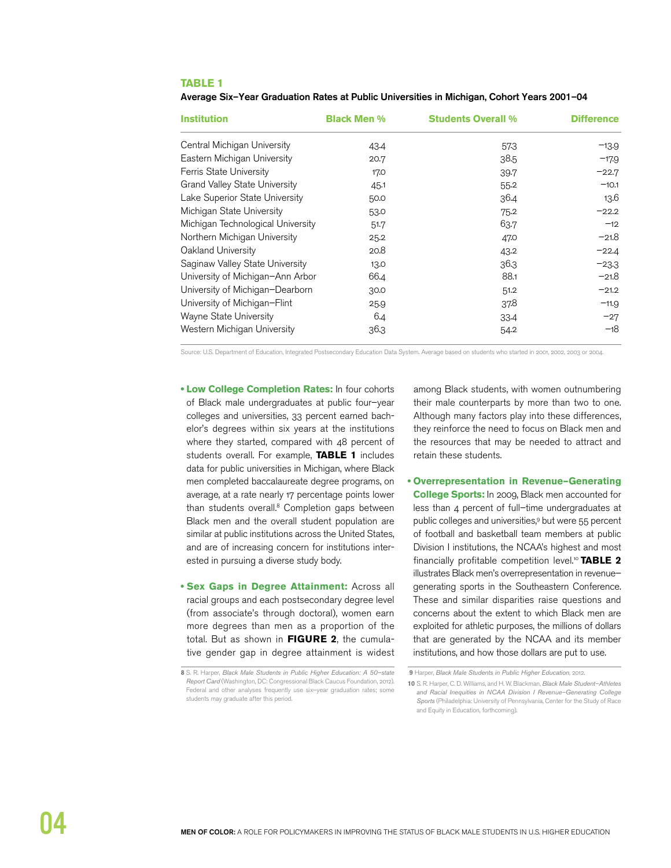#### **TABLE 1**

Average Six-Year Graduation Rates at Public Universities in Michigan, Cohort Years 2001-04

| <b>Institution</b>                   | <b>Black Men %</b> | <b>Students Overall %</b> | <b>Difference</b> |
|--------------------------------------|--------------------|---------------------------|-------------------|
| Central Michigan University          | 43.4               | 573                       | $-13.9$           |
| Eastern Michigan University          | 20.7               | 38.5                      | $-17.9$           |
| Ferris State University              | 17.0               | 39.7                      | $-22.7$           |
| <b>Grand Valley State University</b> | 45.1               | 55.2                      | $-10.1$           |
| Lake Superior State University       | 50.0               | 36.4                      | 13.6              |
| Michigan State University            | 53.0               | 75.2                      | $-22.2$           |
| Michigan Technological University    | 51.7               | 63.7                      | $-12$             |
| Northern Michigan University         | 25.2               | 47.0                      | $-21.8$           |
| Oakland University                   | 20.8               | 43.2                      | $-22.4$           |
| Saginaw Valley State University      | 13.0               | 36.3                      | $-23.3$           |
| University of Michigan-Ann Arbor     | 66.4               | 88.1                      | $-21.8$           |
| University of Michigan-Dearborn      | 30.0               | 51.2                      | $-21.2$           |
| University of Michigan-Flint         | 25.9               | 37.8                      | $-11.9$           |
| Wayne State University               | 6.4                | 33.4                      | $-27$             |
| Western Michigan University          | 36.3               | 54.2                      | $-18$             |

Source: U.S. Department of Education, Integrated Postsecondary Education Data System. Average based on students who started in 2001, 2002, 2003 or 2004.

- **Low College Completion Rates:** In four cohorts of Black male undergraduates at public four–year colleges and universities, 33 percent earned bachelor's degrees within six years at the institutions where they started, compared with 48 percent of students overall. For example, **TABLE 1** includes data for public universities in Michigan, where Black men completed baccalaureate degree programs, on average, at a rate nearly 17 percentage points lower than students overall.<sup>8</sup> Completion gaps between Black men and the overall student population are similar at public institutions across the United States, and are of increasing concern for institutions interested in pursuing a diverse study body.
- **Sex Gaps in Degree Attainment: Across all** racial groups and each postsecondary degree level (from associate's through doctoral), women earn more degrees than men as a proportion of the total. But as shown in **FIGURE 2**, the cumulative gender gap in degree attainment is widest

among Black students, with women outnumbering their male counterparts by more than two to one. Although many factors play into these differences, they reinforce the need to focus on Black men and the resources that may be needed to attract and retain these students.

**• Overrepresentation in Revenue-Generating College Sports:** In 2009, Black men accounted for less than 4 percent of full–time undergraduates at public colleges and universities,9 but were 55 percent of football and basketball team members at public Division I institutions, the NCAA's highest and most financially profitable competition level.10 **TABLE 2** illustrates Black men's overrepresentation in revenue– generating sports in the Southeastern Conference. These and similar disparities raise questions and concerns about the extent to which Black men are exploited for athletic purposes, the millions of dollars that are generated by the NCAA and its member institutions, and how those dollars are put to use.

**<sup>8</sup>** S. R. Harper, Black Male Students in Public Higher Education: A 50–state Report Card (Washington, DC: Congressional Black Caucus Foundation, 2012). Federal and other analyses frequently use six–year graduation rates; some students may graduate after this period.

**<sup>9</sup>** Harper, Black Male Students in Public Higher Education, 2012.

**<sup>10</sup>** S. R. Harper, C. D. Williams, and H. W. Blackman, Black Male Student–Athletes and Racial Inequities in NCAA Division I Revenue–Generating College Sports (Philadelphia: University of Pennsylvania, Center for the Study of Race and Equity in Education, forthcoming).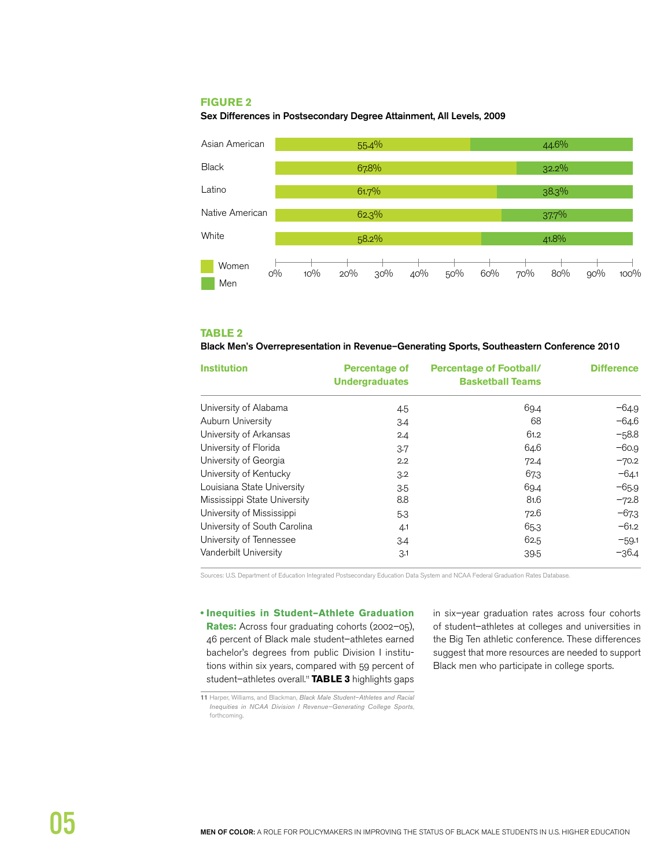### **FIGURE 2**

Sex Differences in Postsecondary Degree Attainment, All Levels, 2009



#### **TABLE 2**

#### Black Men's Overrepresentation in Revenue-Generating Sports, Southeastern Conference 2010

| <b>Institution</b>           | <b>Percentage of</b><br><b>Undergraduates</b> | <b>Percentage of Football/</b><br><b>Basketball Teams</b> | <b>Difference</b> |
|------------------------------|-----------------------------------------------|-----------------------------------------------------------|-------------------|
| University of Alabama        | 4.5                                           | 69.4                                                      | $-64.9$           |
| Auburn University            | 3.4                                           | 68                                                        | $-64.6$           |
| University of Arkansas       | 2.4                                           | 61.2                                                      | $-58.8$           |
| University of Florida        | 3.7                                           | 64.6                                                      | $-60.9$           |
| University of Georgia        | 2.2                                           | 72.4                                                      | $-70.2$           |
| University of Kentucky       | 3.2                                           | 673                                                       | $-64.1$           |
| Louisiana State University   | 3.5                                           | 69.4                                                      | $-65.9$           |
| Mississippi State University | 8.8                                           | 81.6                                                      | $-72.8$           |
| University of Mississippi    | 5.3                                           | 72.6                                                      | $-673$            |
| University of South Carolina | 4.1                                           | 65.3                                                      | $-61.2$           |
| University of Tennessee      | 3.4                                           | 62.5                                                      | $-59.1$           |
| Vanderbilt University        | 3.1                                           | 39.5                                                      | -36.4             |

Sources: U.S. Department of Education Integrated Postsecondary Education Data System and NCAA Federal Graduation Rates Database.

**• Inequities in Student-Athlete Graduation** Rates: Across four graduating cohorts (2002-05), 46 percent of Black male student–athletes earned bachelor's degrees from public Division I institutions within six years, compared with 59 percent of student-athletes overall.<sup>11</sup> TABLE 3 highlights gaps

in six–year graduation rates across four cohorts of student–athletes at colleges and universities in the Big Ten athletic conference. These differences suggest that more resources are needed to support Black men who participate in college sports.

**<sup>11</sup>** Harper, Williams, and Blackman, Black Male Student–Athletes and Racial Inequities in NCAA Division I Revenue–Generating College Sports, forthcoming.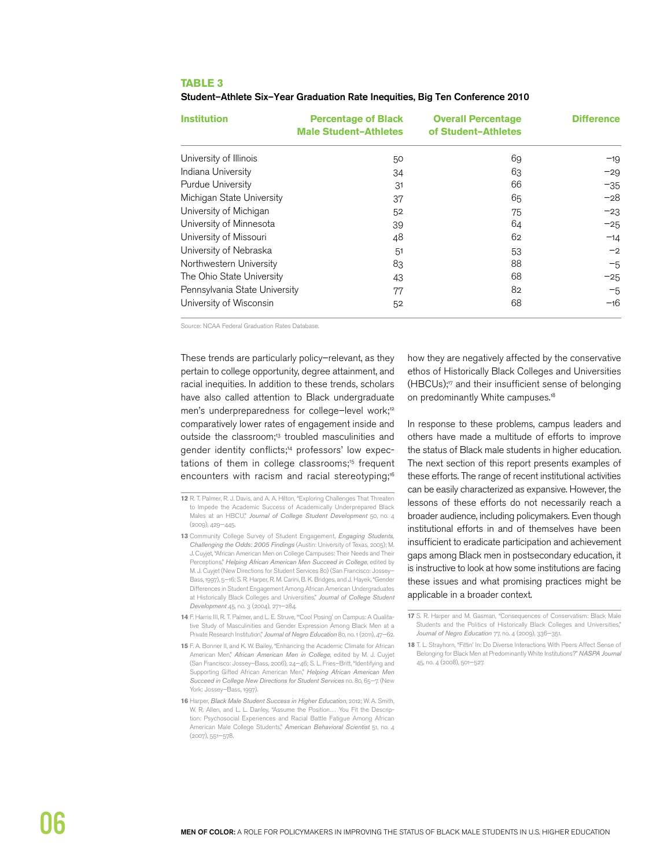#### **TABLE 3**

Student-Athlete Six-Year Graduation Rate Inequities, Big Ten Conference 2010

| <b>Institution</b>            | <b>Percentage of Black</b><br><b>Male Student-Athletes</b> | <b>Overall Percentage</b><br>of Student-Athletes | <b>Difference</b> |
|-------------------------------|------------------------------------------------------------|--------------------------------------------------|-------------------|
| University of Illinois        | 50                                                         | 69                                               | $-19$             |
| Indiana University            | 34                                                         | 63                                               | $-29$             |
| Purdue University             | 31                                                         | 66                                               | $-35$             |
| Michigan State University     | 37                                                         | 65                                               | $-28$             |
| University of Michigan        | 52                                                         | 75                                               | $-23$             |
| University of Minnesota       | 39                                                         | 64                                               | $-25$             |
| University of Missouri        | 48                                                         | 62                                               | $-14$             |
| University of Nebraska        | 51                                                         | 53                                               | $-2$              |
| Northwestern University       | 83                                                         | 88                                               | $-5$              |
| The Ohio State University     | 43                                                         | 68                                               | $-25$             |
| Pennsylvania State University | 77                                                         | 82                                               | $-5$              |
| University of Wisconsin       | 52                                                         | 68                                               | $-16$             |

Source: NCAA Federal Graduation Rates Database.

These trends are particularly policy–relevant, as they pertain to college opportunity, degree attainment, and racial inequities. In addition to these trends, scholars have also called attention to Black undergraduate men's underpreparedness for college-level work;<sup>12</sup> comparatively lower rates of engagement inside and outside the classroom;<sup>13</sup> troubled masculinities and gender identity conflicts;<sup>14</sup> professors' low expectations of them in college classrooms;<sup>15</sup> frequent encounters with racism and racial stereotyping;<sup>16</sup>

- 13 Community College Survey of Student Engagement, *Engaging Students*, Challenging the Odds: 2005 Findings (Austin: University of Texas, 2005); M. J. Cuyjet, "African American Men on College Campuses: Their Needs and Their Perceptions," Helping African American Men Succeed in College, edited by M. J. Cuyjet (New Directions for Student Services 80) (San Francisco: Jossey– Bass, 1997), 5—16; S. R. Harper, R. M. Carini, B. K. Bridges, and J. Hayek, "Gender Differences in Student Engagement Among African American Undergraduates at Historically Black Colleges and Universities," Journal of College Student Development 45, no. 3 (2004), 271—284.
- **14** F. Harris III, R. T. Palmer, and L. E. Struve, "'Cool Posing' on Campus: A Qualitative Study of Masculinities and Gender Expression Among Black Men at a Private Research Institution," Journal of Negro Education 80, no. 1 (2011), 47-62.
- **15** F. A. Bonner II, and K. W. Bailey, "Enhancing the Academic Climate for African American Men," African American Men in College, edited by M. J. Cuyjet (San Francisco: Jossey–Bass, 2006), 24—46; S. L. Fries–Britt, "Identifying and Supporting Gifted African American Men," Helping African American Men Succeed in College New Directions for Student Services no. 80, 65—7. (New York: Jossey-Bass, 1997).
- **16** Harper, Black Male Student Success in Higher Education, 2012; W. A. Smith, W. R. Allen, and L. L. Danley, "Assume the Position… You Fit the Description: Psychosocial Experiences and Racial Battle Fatigue Among African American Male College Students," American Behavioral Scientist 51, no. 4 (2007), 551—578.

how they are negatively affected by the conservative ethos of Historically Black Colleges and Universities (HBCUs);17 and their insufficient sense of belonging on predominantly White campuses.<sup>18</sup>

In response to these problems, campus leaders and others have made a multitude of efforts to improve the status of Black male students in higher education. The next section of this report presents examples of these efforts. The range of recent institutional activities can be easily characterized as expansive. However, the lessons of these efforts do not necessarily reach a broader audience, including policymakers. Even though institutional efforts in and of themselves have been insufficient to eradicate participation and achievement gaps among Black men in postsecondary education, it is instructive to look at how some institutions are facing these issues and what promising practices might be applicable in a broader context.

**17** S. R. Harper and M. Gasman, "Consequences of Conservatism: Black Male Students and the Politics of Historically Black Colleges and Universities," Journal of Negro Education 77, no. 4 (2009), 336-351.

**18** T. L. Strayhorn, "Fittin' In: Do Diverse Interactions With Peers Affect Sense of Belonging for Black Men at Predominantly White Institutions?" NASPA Journal 45, no. 4 (2008), 501—527.

**<sup>12</sup>** R. T. Palmer, R. J. Davis, and A. A. Hilton, "Exploring Challenges That Threaten to Impede the Academic Success of Academically Underprepared Black Males at an HBCU," Journal of College Student Development 50, no. 4 (2009), 429—445.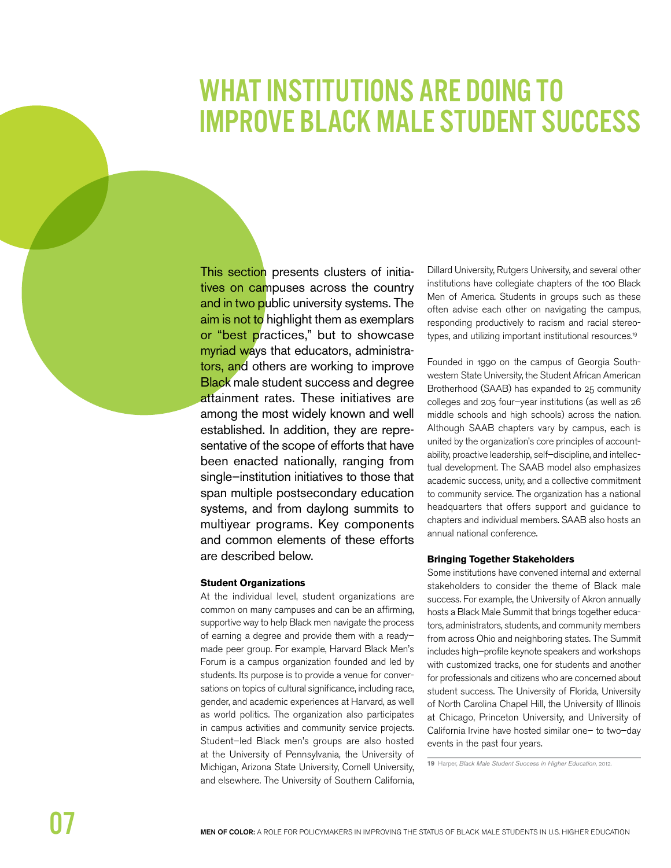### **WHAT INSTITUTIONS ARE DOING TO IMPROVE BLACK MALE STUDENT SUCCESS**

This section presents clusters of initiatives on campuses across the country and in two public university systems. The aim is not to highlight them as exemplars or "best practices," but to showcase myriad ways that educators, administrators, and others are working to improve **Black** male student success and degree attainment rates. These initiatives are among the most widely known and well established. In addition, they are representative of the scope of efforts that have been enacted nationally, ranging from single-institution initiatives to those that span multiple postsecondary education systems, and from daylong summits to multiyear programs. Key components and common elements of these efforts are described below.

#### **Student Organizations**

At the individual level, student organizations are common on many campuses and can be an affirming, supportive way to help Black men navigate the process of earning a degree and provide them with a readymade peer group. For example, Harvard Black Men's Forum is a campus organization founded and led by students. Its purpose is to provide a venue for conversations on topics of cultural significance, including race, gender, and academic experiences at Harvard, as well as world politics. The organization also participates in campus activities and community service projects. Student-led Black men's groups are also hosted at the University of Pennsylvania, the University of Michigan, Arizona State University, Cornell University, and elsewhere. The University of Southern California,

Dillard University, Rutgers University, and several other institutions have collegiate chapters of the 100 Black Men of America. Students in groups such as these often advise each other on navigating the campus, responding productively to racism and racial stereotypes, and utilizing important institutional resources.<sup>19</sup>

Founded in 1990 on the campus of Georgia Southwestern State University, the Student African American Brotherhood (SAAB) has expanded to 25 community colleges and 205 four-year institutions (as well as 26 middle schools and high schools) across the nation. Although SAAB chapters vary by campus, each is united by the organization's core principles of accountability, proactive leadership, self-discipline, and intellectual development. The SAAB model also emphasizes academic success, unity, and a collective commitment to community service. The organization has a national headquarters that offers support and guidance to chapters and individual members. SAAB also hosts an annual national conference.

#### **Bringing Together Stakeholders**

Some institutions have convened internal and external stakeholders to consider the theme of Black male success. For example, the University of Akron annually hosts a Black Male Summit that brings together educators, administrators, students, and community members from across Ohio and neighboring states. The Summit includes high-profile keynote speakers and workshops with customized tracks, one for students and another for professionals and citizens who are concerned about student success. The University of Florida, University of North Carolina Chapel Hill, the University of Illinois at Chicago, Princeton University, and University of California Irvine have hosted similar one- to two-day events in the past four years.

19 Harper, Black Male Student Success in Higher Education, 2012.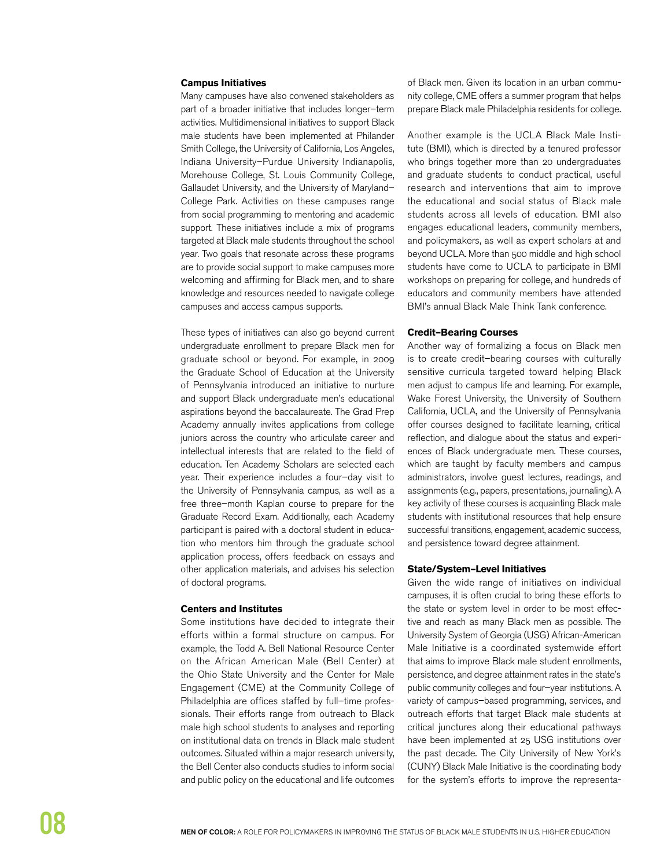#### **Campus Initiatives**

Many campuses have also convened stakeholders as part of a broader initiative that includes longer–term activities. Multidimensional initiatives to support Black male students have been implemented at Philander Smith College, the University of California, Los Angeles, Indiana University–Purdue University Indianapolis, Morehouse College, St. Louis Community College, Gallaudet University, and the University of Maryland– College Park. Activities on these campuses range from social programming to mentoring and academic support. These initiatives include a mix of programs targeted at Black male students throughout the school year. Two goals that resonate across these programs are to provide social support to make campuses more welcoming and affirming for Black men, and to share knowledge and resources needed to navigate college campuses and access campus supports.

These types of initiatives can also go beyond current undergraduate enrollment to prepare Black men for graduate school or beyond. For example, in 2009 the Graduate School of Education at the University of Pennsylvania introduced an initiative to nurture and support Black undergraduate men's educational aspirations beyond the baccalaureate. The Grad Prep Academy annually invites applications from college juniors across the country who articulate career and intellectual interests that are related to the field of education. Ten Academy Scholars are selected each year. Their experience includes a four–day visit to the University of Pennsylvania campus, as well as a free three–month Kaplan course to prepare for the Graduate Record Exam. Additionally, each Academy participant is paired with a doctoral student in education who mentors him through the graduate school application process, offers feedback on essays and other application materials, and advises his selection of doctoral programs.

#### **Centers and Institutes**

Some institutions have decided to integrate their efforts within a formal structure on campus. For example, the Todd A. Bell National Resource Center on the African American Male (Bell Center) at the Ohio State University and the Center for Male Engagement (CME) at the Community College of Philadelphia are offices staffed by full–time professionals. Their efforts range from outreach to Black male high school students to analyses and reporting on institutional data on trends in Black male student outcomes. Situated within a major research university, the Bell Center also conducts studies to inform social and public policy on the educational and life outcomes of Black men. Given its location in an urban community college, CME offers a summer program that helps prepare Black male Philadelphia residents for college.

Another example is the UCLA Black Male Institute (BMI), which is directed by a tenured professor who brings together more than 20 undergraduates and graduate students to conduct practical, useful research and interventions that aim to improve the educational and social status of Black male students across all levels of education. BMI also engages educational leaders, community members, and policymakers, as well as expert scholars at and beyond UCLA. More than 500 middle and high school students have come to UCLA to participate in BMI workshops on preparing for college, and hundreds of educators and community members have attended BMI's annual Black Male Think Tank conference.

#### **Credit–Bearing Courses**

Another way of formalizing a focus on Black men is to create credit–bearing courses with culturally sensitive curricula targeted toward helping Black men adjust to campus life and learning. For example, Wake Forest University, the University of Southern California, UCLA, and the University of Pennsylvania offer courses designed to facilitate learning, critical reflection, and dialogue about the status and experiences of Black undergraduate men. These courses, which are taught by faculty members and campus administrators, involve guest lectures, readings, and assignments (e.g., papers, presentations, journaling). A key activity of these courses is acquainting Black male students with institutional resources that help ensure successful transitions, engagement, academic success, and persistence toward degree attainment.

#### **State/System-Level Initiatives**

Given the wide range of initiatives on individual campuses, it is often crucial to bring these efforts to the state or system level in order to be most effective and reach as many Black men as possible. The University System of Georgia (USG) African-American Male Initiative is a coordinated systemwide effort that aims to improve Black male student enrollments, persistence, and degree attainment rates in the state's public community colleges and four–year institutions. A variety of campus–based programming, services, and outreach efforts that target Black male students at critical junctures along their educational pathways have been implemented at 25 USG institutions over the past decade. The City University of New York's (CUNY) Black Male Initiative is the coordinating body for the system's efforts to improve the representa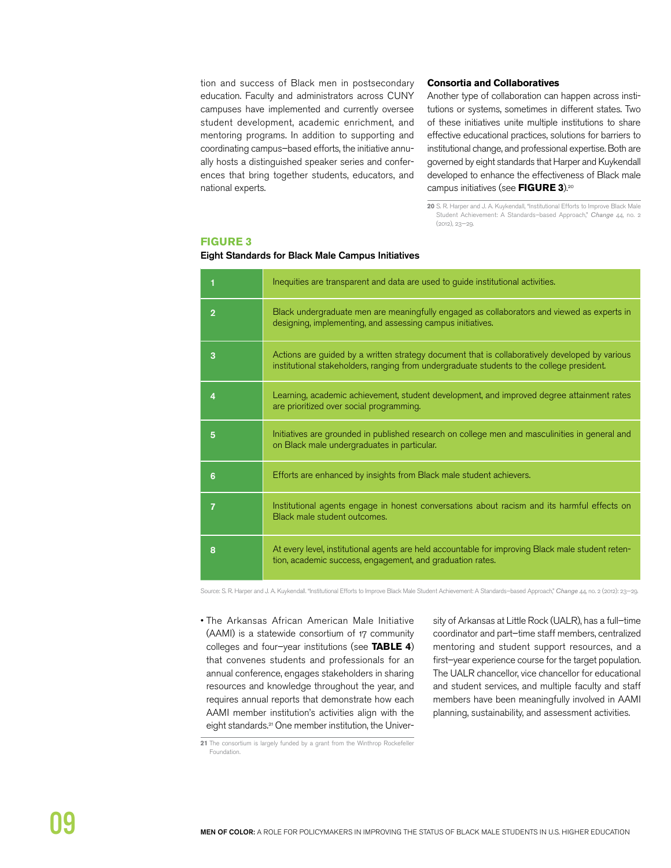tion and success of Black men in postsecondary education. Faculty and administrators across CUNY campuses have implemented and currently oversee student development, academic enrichment, and mentoring programs. In addition to supporting and coordinating campus–based efforts, the initiative annually hosts a distinguished speaker series and conferences that bring together students, educators, and national experts.

#### **Consortia and Collaboratives**

Another type of collaboration can happen across institutions or systems, sometimes in different states. Two of these initiatives unite multiple institutions to share effective educational practices, solutions for barriers to institutional change, and professional expertise. Both are governed by eight standards that Harper and Kuykendall developed to enhance the effectiveness of Black male campus initiatives (see **FIGURE 3**).20

**20** S. R. Harper and J. A. Kuykendall, "Institutional Efforts to Improve Black Male Student Achievement: A Standards–based Approach," Change 44, no. 2 (2012), 23—29.

### **FIGURE 3**

#### Eight Standards for Black Male Campus Initiatives

|                | Inequities are transparent and data are used to guide institutional activities.                                                                                                             |
|----------------|---------------------------------------------------------------------------------------------------------------------------------------------------------------------------------------------|
| $\overline{2}$ | Black undergraduate men are meaningfully engaged as collaborators and viewed as experts in<br>designing, implementing, and assessing campus initiatives.                                    |
| 3              | Actions are guided by a written strategy document that is collaboratively developed by various<br>institutional stakeholders, ranging from undergraduate students to the college president. |
| 4              | Learning, academic achievement, student development, and improved degree attainment rates<br>are prioritized over social programming.                                                       |
| 5              | Initiatives are grounded in published research on college men and masculinities in general and<br>on Black male undergraduates in particular.                                               |
| 6              | Efforts are enhanced by insights from Black male student achievers.                                                                                                                         |
| 7              | Institutional agents engage in honest conversations about racism and its harmful effects on<br>Black male student outcomes.                                                                 |
| 8              | At every level, institutional agents are held accountable for improving Black male student reten-<br>tion, academic success, engagement, and graduation rates.                              |

Source: S. R. Harper and J. A. Kuykendall. "Institutional Efforts to Improve Black Male Student Achievement: A Standards-based Approach," Change 44, no. 2 (2012): 23-29.

• The Arkansas African American Male Initiative (AAMI) is a statewide consortium of 17 community colleges and four–year institutions (see **TABLE 4**) that convenes students and professionals for an annual conference, engages stakeholders in sharing resources and knowledge throughout the year, and requires annual reports that demonstrate how each AAMI member institution's activities align with the eight standards.21 One member institution, the Univer-

sity of Arkansas at Little Rock (UALR), has a full–time coordinator and part–time staff members, centralized mentoring and student support resources, and a first–year experience course for the target population. The UALR chancellor, vice chancellor for educational and student services, and multiple faculty and staff members have been meaningfully involved in AAMI planning, sustainability, and assessment activities.

**21** The consortium is largely funded by a grant from the Winthrop Rockefeller Foundation.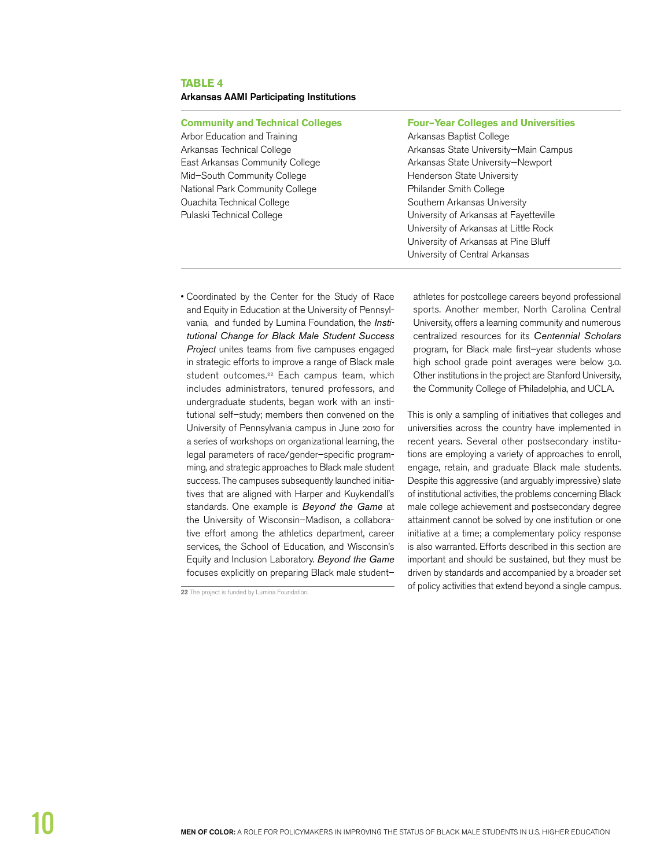#### **TABLE 4**

#### Arkansas AAMI Participating Institutions

#### **Community and Technical Colleges Four–Year Colleges and Universities**

Arbor Education and Training The College Arkansas Baptist College Mid-South Community College **Henderson State University** National Park Community College Philander Smith College Ouachita Technical College Southern Arkansas University

Arkansas Technical College Arkansas State University—Main Campus East Arkansas Community College Arkansas State University-Newport Pulaski Technical College The University of Arkansas at Fayetteville University of Arkansas at Little Rock University of Arkansas at Pine Bluff University of Central Arkansas

• Coordinated by the Center for the Study of Race and Equity in Education at the University of Pennsylvania, and funded by Lumina Foundation, the *Insti*tutional Change for Black Male Student Success Project unites teams from five campuses engaged in strategic efforts to improve a range of Black male student outcomes.<sup>22</sup> Each campus team, which includes administrators, tenured professors, and undergraduate students, began work with an institutional self–study; members then convened on the University of Pennsylvania campus in June 2010 for a series of workshops on organizational learning, the legal parameters of race/gender–specific programming, and strategic approaches to Black male student success. The campuses subsequently launched initiatives that are aligned with Harper and Kuykendall's standards. One example is Beyond the Game at the University of Wisconsin–Madison, a collaborative effort among the athletics department, career services, the School of Education, and Wisconsin's Equity and Inclusion Laboratory. Beyond the Game focuses explicitly on preparing Black male student–

athletes for postcollege careers beyond professional sports. Another member, North Carolina Central University, offers a learning community and numerous centralized resources for its Centennial Scholars program, for Black male first–year students whose high school grade point averages were below 3.0. Other institutions in the project are Stanford University, the Community College of Philadelphia, and UCLA.

This is only a sampling of initiatives that colleges and universities across the country have implemented in recent years. Several other postsecondary institutions are employing a variety of approaches to enroll, engage, retain, and graduate Black male students. Despite this aggressive (and arguably impressive) slate of institutional activities, the problems concerning Black male college achievement and postsecondary degree attainment cannot be solved by one institution or one initiative at a time; a complementary policy response is also warranted. Efforts described in this section are important and should be sustained, but they must be driven by standards and accompanied by a broader set **22** The project is funded by Lumina Foundation.<br>22 The project is funded by Lumina Foundation.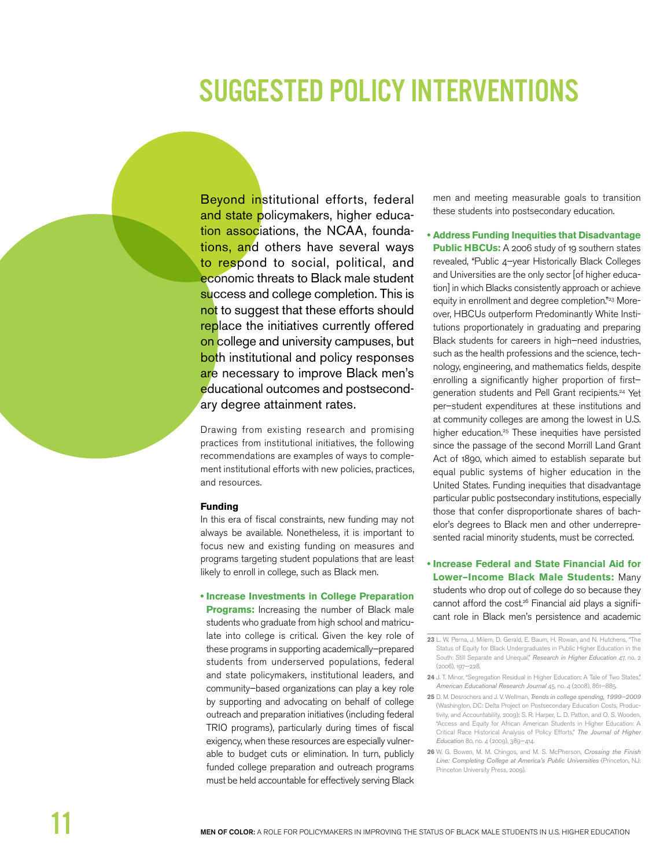## **SUGGESTED POLICY INTERVENTIONS**

Beyond institutional efforts, federal and state policymakers, higher education associations, the NCAA, foundations, and others have several ways to respond to social, political, and economic threats to Black male student success and college completion. This is not to suggest that these efforts should replace the initiatives currently offered on college and university campuses, but both institutional and policy responses are necessary to improve Black men's educational outcomes and postsecondary degree attainment rates.

Drawing from existing research and promising practices from institutional initiatives, the following recommendations are examples of ways to complement institutional efforts with new policies, practices, and resources.

#### **Funding**

In this era of fiscal constraints, new funding may not always be available. Nonetheless, it is important to focus new and existing funding on measures and programs targeting student populations that are least likely to enroll in college, such as Black men.

#### **. Increase Investments in College Preparation**

**Programs:** Increasing the number of Black male students who graduate from high school and matriculate into college is critical. Given the key role of these programs in supporting academically-prepared students from underserved populations, federal and state policymakers, institutional leaders, and community-based organizations can play a key role by supporting and advocating on behalf of college outreach and preparation initiatives (including federal TRIO programs), particularly during times of fiscal exigency, when these resources are especially vulnerable to budget cuts or elimination. In turn, publicly funded college preparation and outreach programs must be held accountable for effectively serving Black

men and meeting measurable goals to transition these students into postsecondary education.

**Address Funding Inequities that Disadvantage** Public HBCUs: A 2006 study of 19 southern states revealed, "Public 4-year Historically Black Colleges and Universities are the only sector [of higher education] in which Blacks consistently approach or achieve equity in enrollment and degree completion."23 Moreover, HBCUs outperform Predominantly White Institutions proportionately in graduating and preparing Black students for careers in high-need industries, such as the health professions and the science, technology, engineering, and mathematics fields, despite enrolling a significantly higher proportion of firstgeneration students and Pell Grant recipients.<sup>24</sup> Yet per-student expenditures at these institutions and at community colleges are among the lowest in U.S. higher education.<sup>25</sup> These inequities have persisted since the passage of the second Morrill Land Grant Act of 1890, which aimed to establish separate but equal public systems of higher education in the United States. Funding inequities that disadvantage particular public postsecondary institutions, especially those that confer disproportionate shares of bachelor's degrees to Black men and other underrepresented racial minority students, must be corrected.

. Increase Federal and State Financial Aid for Lower-Income Black Male Students: Many students who drop out of college do so because they cannot afford the cost<sup>26</sup> Financial aid plays a significant role in Black men's persistence and academic

- 24 J. T. Minor, "Segregation Residual in Higher Education: A Tale of Two States," American Educational Research Journal 45, no. 4 (2008), 861-885.
- 25 D. M. Desrochers and J. V. Wellman, Trends in college spending, 1999-2009 (Washington, DC: Delta Project on Postsecondary Education Costs, Productivity, and Accountability, 2009); S. R. Harper, L. D. Patton, and O. S. Wooden, "Access and Equity for African American Students in Higher Education: A Critical Race Historical Analysis of Policy Efforts," The Journal of Higher Education 80, no. 4 (2009), 389-414.
- 26 W. G. Bowen, M. M. Chingos, and M. S. McPherson, Crossing the Finish Line: Completing College at America's Public Universities (Princeton, NJ: Princeton University Press, 2009).

<sup>23</sup> L. W. Perna, J. Milem, D. Gerald, E. Baum, H. Rowan, and N. Hutchens, "The Status of Equity for Black Undergraduates in Public Higher Education in the South: Still Separate and Unequal," Research in Higher Education 47, no. 2 (2006), 197-228.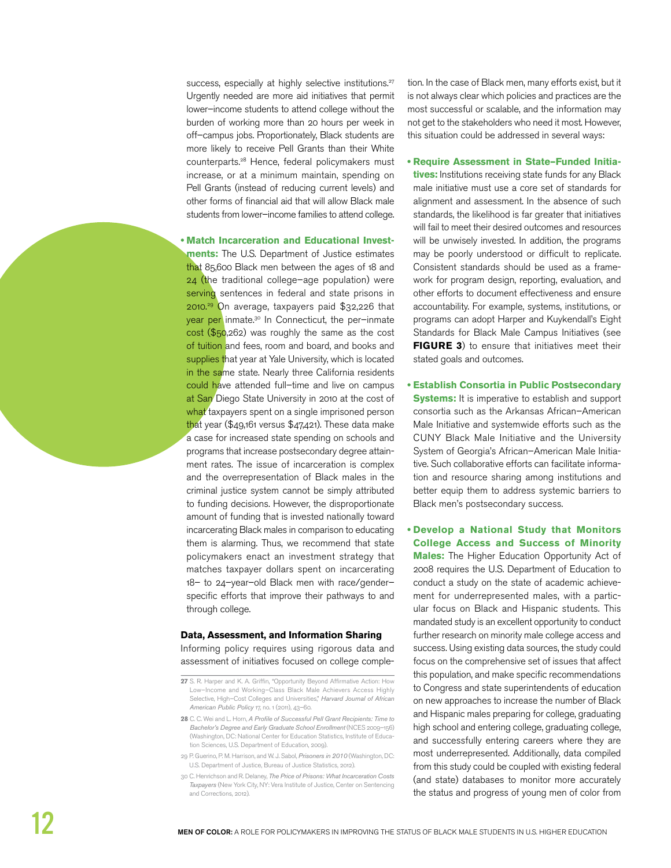success, especially at highly selective institutions.<sup>27</sup> Urgently needed are more aid initiatives that permit lower-income students to attend college without the burden of working more than 20 hours per week in off-campus jobs. Proportionately, Black students are more likely to receive Pell Grants than their White counterparts.<sup>28</sup> Hence, federal policymakers must increase, or at a minimum maintain, spending on Pell Grants (instead of reducing current levels) and other forms of financial aid that will allow Black male students from lower-income families to attend college.

. Match Incarceration and Educational Investments: The U.S. Department of Justice estimates that 85,600 Black men between the ages of 18 and  $24$  (the traditional college-age population) were serving sentences in federal and state prisons in 2010.<sup>29</sup> On average, taxpayers paid \$32,226 that year per inmate.<sup>30</sup> In Connecticut, the per-inmate  $\cot$  (\$50,262) was roughly the same as the cost of tuition and fees, room and board, and books and supplies that year at Yale University, which is located in the same state. Nearly three California residents could have attended full-time and live on campus at San Diego State University in 2010 at the cost of what taxpayers spent on a single imprisoned person that year (\$49,161 versus \$47,421). These data make a case for increased state spending on schools and programs that increase postsecondary degree attainment rates. The issue of incarceration is complex and the overrepresentation of Black males in the criminal justice system cannot be simply attributed to funding decisions. However, the disproportionate amount of funding that is invested nationally toward incarcerating Black males in comparison to educating them is alarming. Thus, we recommend that state policymakers enact an investment strategy that matches taxpayer dollars spent on incarcerating 18- to 24-year-old Black men with race/genderspecific efforts that improve their pathways to and through college.

#### Data, Assessment, and Information Sharing

Informing policy requires using rigorous data and assessment of initiatives focused on college completion. In the case of Black men, many efforts exist, but it is not always clear which policies and practices are the most successful or scalable, and the information may not get to the stakeholders who need it most. However, this situation could be addressed in several ways:

. Require Assessment in State-Funded Initiatives: Institutions receiving state funds for any Black male initiative must use a core set of standards for alignment and assessment. In the absence of such standards, the likelihood is far greater that initiatives will fail to meet their desired outcomes and resources will be unwisely invested. In addition, the programs may be poorly understood or difficult to replicate. Consistent standards should be used as a framework for program design, reporting, evaluation, and other efforts to document effectiveness and ensure accountability. For example, systems, institutions, or programs can adopt Harper and Kuykendall's Eight Standards for Black Male Campus Initiatives (see **FIGURE 3)** to ensure that initiatives meet their stated goals and outcomes.

- **Establish Consortia in Public Postsecondary Systems:** It is imperative to establish and support consortia such as the Arkansas African-American Male Initiative and systemwide efforts such as the CUNY Black Male Initiative and the University System of Georgia's African-American Male Initiative. Such collaborative efforts can facilitate information and resource sharing among institutions and better equip them to address systemic barriers to Black men's postsecondary success.
- . Develop a National Study that Monitors **College Access and Success of Minority** Males: The Higher Education Opportunity Act of 2008 requires the U.S. Department of Education to conduct a study on the state of academic achievement for underrepresented males, with a particular focus on Black and Hispanic students. This mandated study is an excellent opportunity to conduct further research on minority male college access and success. Using existing data sources, the study could focus on the comprehensive set of issues that affect this population, and make specific recommendations to Congress and state superintendents of education on new approaches to increase the number of Black and Hispanic males preparing for college, graduating high school and entering college, graduating college, and successfully entering careers where they are most underrepresented. Additionally, data compiled from this study could be coupled with existing federal (and state) databases to monitor more accurately the status and progress of young men of color from

<sup>27</sup> S. R. Harper and K. A. Griffin, "Opportunity Beyond Affirmative Action: How Low-Income and Working-Class Black Male Achievers Access Highly Selective, High-Cost Colleges and Universities," Harvard Journal of African American Public Policy 17, no. 1 (2011), 43-60.

<sup>28</sup> C. C. Wei and L. Horn, A Profile of Successful Pell Grant Recipients: Time to Bachelor's Degree and Early Graduate School Enrollment (NCES 2009-156) (Washington, DC: National Center for Education Statistics, Institute of Education Sciences, U.S. Department of Education, 2009).

<sup>29</sup> P. Guerino, P. M. Harrison, and W. J. Sabol, Prisoners in 2010 (Washington, DC: U.S. Department of Justice, Bureau of Justice Statistics, 2012).

<sup>30</sup> C. Henrichson and R. Delaney, The Price of Prisons: What Incarceration Costs Taxpayers (New York City, NY: Vera Institute of Justice, Center on Sentencing and Corrections, 2012).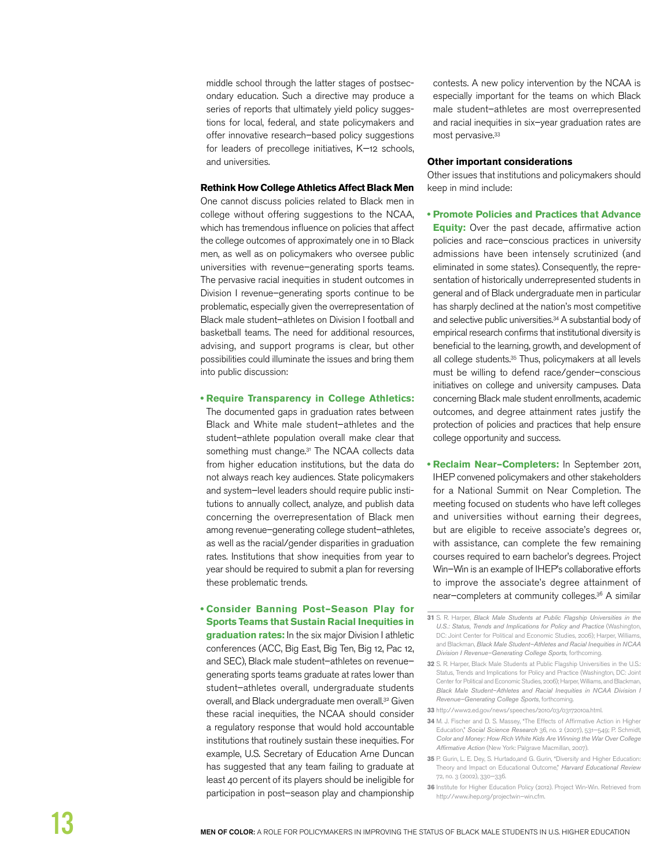middle school through the latter stages of postsecondary education. Such a directive may produce a series of reports that ultimately yield policy suggestions for local, federal, and state policymakers and offer innovative research–based policy suggestions for leaders of precollege initiatives, K—12 schools, and universities.

#### **Rethink How College Athletics Affect Black Men**

One cannot discuss policies related to Black men in college without offering suggestions to the NCAA, which has tremendous influence on policies that affect the college outcomes of approximately one in 10 Black men, as well as on policymakers who oversee public universities with revenue–generating sports teams. The pervasive racial inequities in student outcomes in Division I revenue–generating sports continue to be problematic, especially given the overrepresentation of Black male student–athletes on Division I football and basketball teams. The need for additional resources, advising, and support programs is clear, but other possibilities could illuminate the issues and bring them into public discussion:

#### **• Require Transparency in College Athletics:**

The documented gaps in graduation rates between Black and White male student–athletes and the student–athlete population overall make clear that something must change.<sup>31</sup> The NCAA collects data from higher education institutions, but the data do not always reach key audiences. State policymakers and system–level leaders should require public institutions to annually collect, analyze, and publish data concerning the overrepresentation of Black men among revenue–generating college student–athletes, as well as the racial/gender disparities in graduation rates. Institutions that show inequities from year to year should be required to submit a plan for reversing these problematic trends.

**• Consider Banning Post-Season Play for Sports Teams that Sustain Racial Inequities in** 

**graduation rates:** In the six major Division I athletic conferences (ACC, Big East, Big Ten, Big 12, Pac 12, and SEC), Black male student–athletes on revenue– generating sports teams graduate at rates lower than student–athletes overall, undergraduate students overall, and Black undergraduate men overall.<sup>32</sup> Given these racial inequities, the NCAA should consider a regulatory response that would hold accountable institutions that routinely sustain these inequities. For example, U.S. Secretary of Education Arne Duncan has suggested that any team failing to graduate at least 40 percent of its players should be ineligible for participation in post–season play and championship

contests. A new policy intervention by the NCAA is especially important for the teams on which Black male student–athletes are most overrepresented and racial inequities in six–year graduation rates are most pervasive.33

#### **Other important considerations**

Other issues that institutions and policymakers should keep in mind include:

**8** Promote Policies and Practices that Advance

**Equity:** Over the past decade, affirmative action policies and race–conscious practices in university admissions have been intensely scrutinized (and eliminated in some states). Consequently, the representation of historically underrepresented students in general and of Black undergraduate men in particular has sharply declined at the nation's most competitive and selective public universities.<sup>34</sup> A substantial body of empirical research confirms that institutional diversity is beneficial to the learning, growth, and development of all college students.35 Thus, policymakers at all levels must be willing to defend race/gender–conscious initiatives on college and university campuses. Data concerning Black male student enrollments, academic outcomes, and degree attainment rates justify the protection of policies and practices that help ensure college opportunity and success.

**Reclaim Near-Completers:** In September 2011, IHEP convened policymakers and other stakeholders for a National Summit on Near Completion. The meeting focused on students who have left colleges and universities without earning their degrees, but are eligible to receive associate's degrees or, with assistance, can complete the few remaining courses required to earn bachelor's degrees. Project Win–Win is an example of IHEP's collaborative efforts to improve the associate's degree attainment of near–completers at community colleges.36 A similar

- **33** http://www2.ed.gov/news/speeches/2010/03/03172010a.html.
- **34** M. J. Fischer and D. S. Massey, "The Effects of Affirmative Action in Higher Education," Social Science Research 36, no. 2 (2007), 531—549; P. Schmidt, Color and Money: How Rich White Kids Are Winning the War Over College Affirmative Action (New York: Palgrave Macmillan, 2007).
- **35** P. Gurin, L. E. Dey, S. Hurtado,and G. Gurin, "Diversity and Higher Education: Theory and Impact on Educational Outcome," Harvard Educational Review 72, no. 3 (2002), 330—336.
- **36** Institute for Higher Education Policy (2012). Project Win-Win. Retrieved from http://www.ihep.org/projectwin–win.cfm.

**<sup>31</sup>** S. R. Harper, Black Male Students at Public Flagship Universities in the U.S.: Status, Trends and Implications for Policy and Practice (Washington, DC: Joint Center for Political and Economic Studies, 2006); Harper, Williams, and Blackman, Black Male Student-Athletes and Racial Inequities in NCAA Division I Revenue–Generating College Sports, forthcoming.

**<sup>32</sup>** S. R. Harper, Black Male Students at Public Flagship Universities in the U.S.: Status, Trends and Implications for Policy and Practice (Washington, DC: Joint Center for Political and Economic Studies, 2006); Harper, Williams, and Blackman, Black Male Student–Athletes and Racial Inequities in NCAA Division I Revenue–Generating College Sports, forthcoming.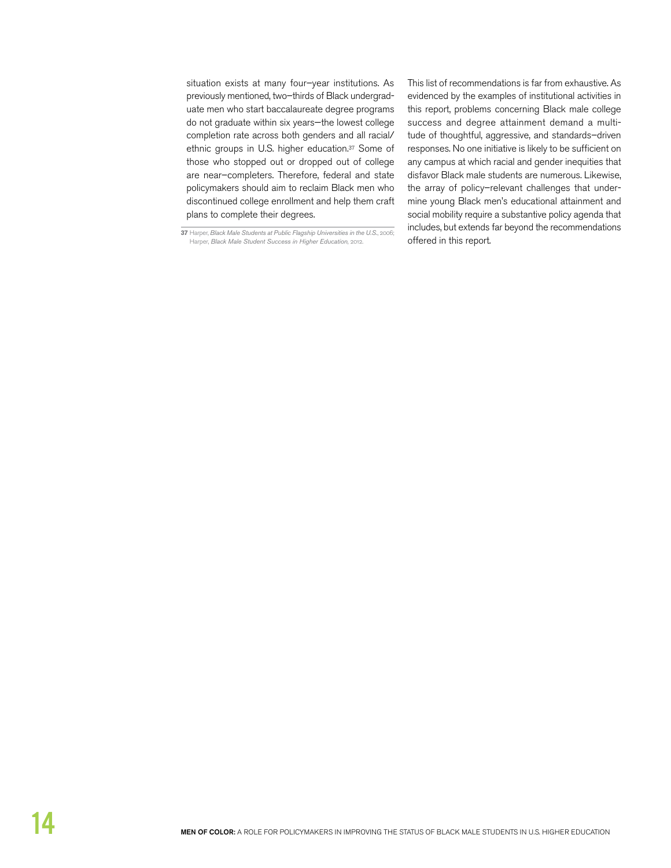situation exists at many four–year institutions. As previously mentioned, two–thirds of Black undergraduate men who start baccalaureate degree programs do not graduate within six years—the lowest college completion rate across both genders and all racial/ ethnic groups in U.S. higher education.37 Some of those who stopped out or dropped out of college are near–completers. Therefore, federal and state policymakers should aim to reclaim Black men who discontinued college enrollment and help them craft plans to complete their degrees.

This list of recommendations is far from exhaustive. As evidenced by the examples of institutional activities in this report, problems concerning Black male college success and degree attainment demand a multitude of thoughtful, aggressive, and standards–driven responses. No one initiative is likely to be sufficient on any campus at which racial and gender inequities that disfavor Black male students are numerous. Likewise, the array of policy–relevant challenges that undermine young Black men's educational attainment and social mobility require a substantive policy agenda that includes, but extends far beyond the recommendations

<sup>37</sup> Harper, Black Male Students at Public Flagship Universities in the U.S., 2006;<br>Harper, Black Male Student Success in Higher Education, 2012. **Conception of State Pools**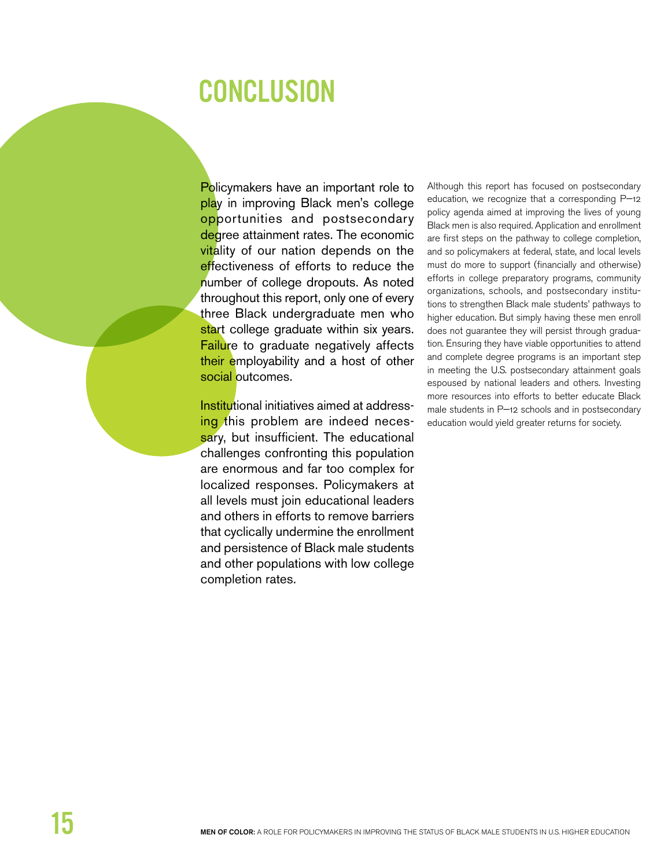### **CONCLUSION**

Policymakers have an important role to play in improving Black men's college opportunities and postsecondary degree attainment rates. The economic vitality of our nation depends on the effectiveness of efforts to reduce the number of college dropouts. As noted throughout this report, only one of every three Black undergraduate men who start college graduate within six years. Failure to graduate negatively affects their employability and a host of other social outcomes.

Institutional initiatives aimed at addressing this problem are indeed necessary, but insufficient. The educational challenges confronting this population are enormous and far too complex for localized responses. Policymakers at all levels must join educational leaders and others in efforts to remove barriers that cyclically undermine the enrollment and persistence of Black male students and other populations with low college completion rates.

Although this report has focused on postsecondary education, we recognize that a corresponding P-12 policy agenda aimed at improving the lives of young Black men is also required. Application and enrollment are first steps on the pathway to college completion, and so policymakers at federal, state, and local levels must do more to support (financially and otherwise) efforts in college preparatory programs, community organizations, schools, and postsecondary institutions to strengthen Black male students' pathways to higher education. But simply having these men enroll does not guarantee they will persist through graduation. Ensuring they have viable opportunities to attend and complete degree programs is an important step in meeting the U.S. postsecondary attainment goals espoused by national leaders and others. Investing more resources into efforts to better educate Black male students in P-12 schools and in postsecondary education would yield greater returns for society.